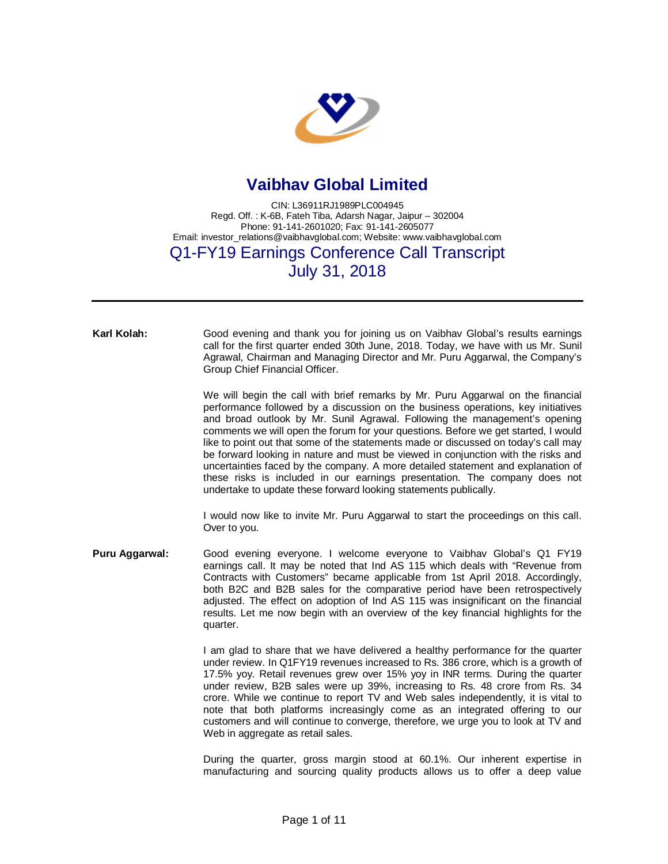

## **Vaibhav Global Limited**

CIN: L36911RJ1989PLC004945 Regd. Off. : K-6B, Fateh Tiba, Adarsh Nagar, Jaipur – 302004 Phone: 91-141-2601020; Fax: 91-141-2605077 Email: [investor\\_relations@vaibhavglobal.com;](mailto:investor_relations@vaibhavglobal.com;) Website: [www.vaibhavglobal.com](http://www.vaibhavglobal.com)

## Q1-FY19 Earnings Conference Call Transcript July 31, 2018

**Karl Kolah:** Good evening and thank you for joining us on Vaibhav Global's results earnings call for the first quarter ended 30th June, 2018. Today, we have with us Mr. Sunil Agrawal, Chairman and Managing Director and Mr. Puru Aggarwal, the Company's Group Chief Financial Officer.

> We will begin the call with brief remarks by Mr. Puru Aggarwal on the financial performance followed by a discussion on the business operations, key initiatives and broad outlook by Mr. Sunil Agrawal. Following the management's opening comments we will open the forum for your questions. Before we get started, I would like to point out that some of the statements made or discussed on today's call may be forward looking in nature and must be viewed in conjunction with the risks and uncertainties faced by the company. A more detailed statement and explanation of these risks is included in our earnings presentation. The company does not undertake to update these forward looking statements publically.

> I would now like to invite Mr. Puru Aggarwal to start the proceedings on this call. Over to you.

**Puru Aggarwal:** Good evening everyone. I welcome everyone to Vaibhav Global's Q1 FY19 earnings call. It may be noted that Ind AS 115 which deals with "Revenue from Contracts with Customers" became applicable from 1st April 2018. Accordingly, both B2C and B2B sales for the comparative period have been retrospectively adjusted. The effect on adoption of Ind AS 115 was insignificant on the financial results. Let me now begin with an overview of the key financial highlights for the quarter.

> I am glad to share that we have delivered a healthy performance for the quarter under review. In Q1FY19 revenues increased to Rs. 386 crore, which is a growth of 17.5% yoy. Retail revenues grew over 15% yoy in INR terms. During the quarter under review, B2B sales were up 39%, increasing to Rs. 48 crore from Rs. 34 crore. While we continue to report TV and Web sales independently, it is vital to note that both platforms increasingly come as an integrated offering to our customers and will continue to converge, therefore, we urge you to look at TV and Web in aggregate as retail sales.

> During the quarter, gross margin stood at 60.1%. Our inherent expertise in manufacturing and sourcing quality products allows us to offer a deep value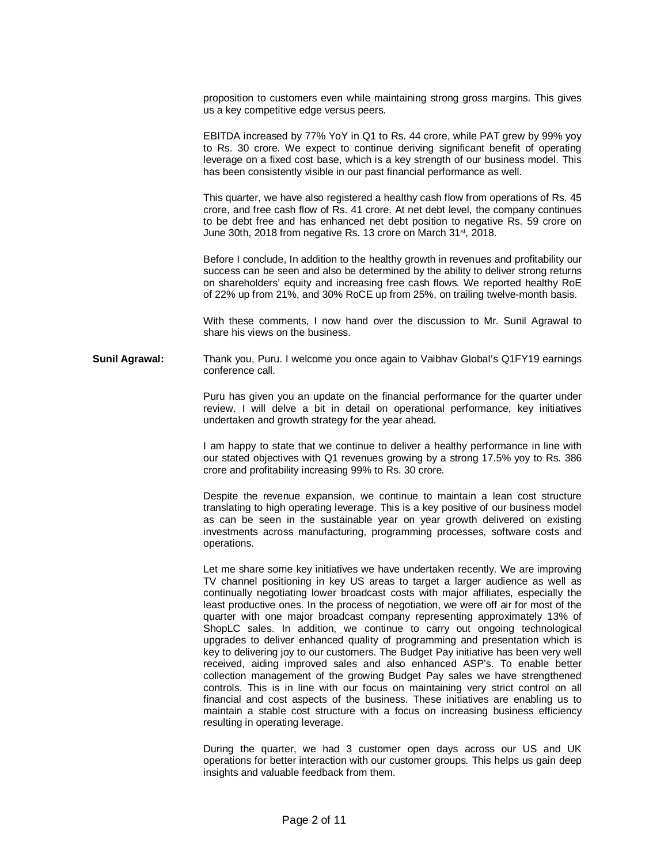proposition to customers even while maintaining strong gross margins. This gives us a key competitive edge versus peers.

EBITDA increased by 77% YoY in Q1 to Rs. 44 crore, while PAT grew by 99% yoy to Rs. 30 crore. We expect to continue deriving significant benefit of operating leverage on a fixed cost base, which is a key strength of our business model. This has been consistently visible in our past financial performance as well.

This quarter, we have also registered a healthy cash flow from operations of Rs. 45 crore, and free cash flow of Rs. 41 crore. At net debt level, the company continues to be debt free and has enhanced net debt position to negative Rs. 59 crore on June 30th, 2018 from negative Rs. 13 crore on March 31<sup>st</sup>, 2018.

Before I conclude, In addition to the healthy growth in revenues and profitability our success can be seen and also be determined by the ability to deliver strong returns on shareholders' equity and increasing free cash flows. We reported healthy RoE of 22% up from 21%, and 30% RoCE up from 25%, on trailing twelve-month basis.

With these comments, I now hand over the discussion to Mr. Sunil Agrawal to share his views on the business.

**Sunil Agrawal:** Thank you, Puru. I welcome you once again to Vaibhav Global's Q1FY19 earnings conference call.

> Puru has given you an update on the financial performance for the quarter under review. I will delve a bit in detail on operational performance, key initiatives undertaken and growth strategy for the year ahead.

> I am happy to state that we continue to deliver a healthy performance in line with our stated objectives with Q1 revenues growing by a strong 17.5% yoy to Rs. 386 crore and profitability increasing 99% to Rs. 30 crore.

> Despite the revenue expansion, we continue to maintain a lean cost structure translating to high operating leverage. This is a key positive of our business model as can be seen in the sustainable year on year growth delivered on existing investments across manufacturing, programming processes, software costs and operations.

> Let me share some key initiatives we have undertaken recently. We are improving TV channel positioning in key US areas to target a larger audience as well as continually negotiating lower broadcast costs with major affiliates, especially the least productive ones. In the process of negotiation, we were off air for most of the quarter with one major broadcast company representing approximately 13% of ShopLC sales. In addition, we continue to carry out ongoing technological upgrades to deliver enhanced quality of programming and presentation which is key to delivering joy to our customers. The Budget Pay initiative has been very well received, aiding improved sales and also enhanced ASP's. To enable better collection management of the growing Budget Pay sales we have strengthened controls. This is in line with our focus on maintaining very strict control on all financial and cost aspects of the business. These initiatives are enabling us to maintain a stable cost structure with a focus on increasing business efficiency resulting in operating leverage.

> During the quarter, we had 3 customer open days across our US and UK operations for better interaction with our customer groups. This helps us gain deep insights and valuable feedback from them.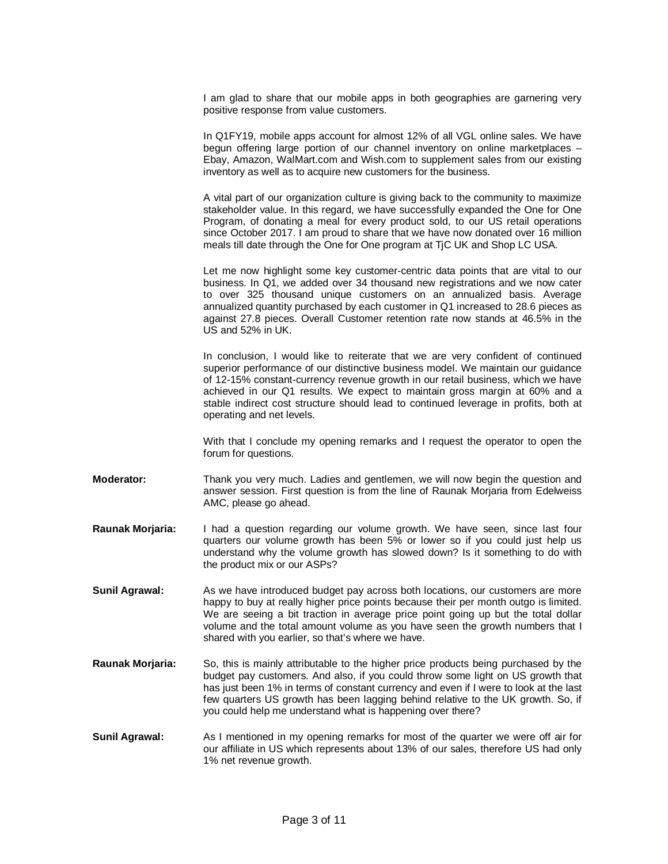I am glad to share that our mobile apps in both geographies are garnering very positive response from value customers.

In Q1FY19, mobile apps account for almost 12% of all VGL online sales. We have begun offering large portion of our channel inventory on online marketplaces – Ebay, Amazon, WalMart.com and Wish.com to supplement sales from our existing inventory as well as to acquire new customers for the business.

A vital part of our organization culture is giving back to the community to maximize stakeholder value. In this regard, we have successfully expanded the One for One Program, of donating a meal for every product sold, to our US retail operations since October 2017. I am proud to share that we have now donated over 16 million meals till date through the One for One program at TjC UK and Shop LC USA.

Let me now highlight some key customer-centric data points that are vital to our business. In Q1, we added over 34 thousand new registrations and we now cater to over 325 thousand unique customers on an annualized basis. Average annualized quantity purchased by each customer in Q1 increased to 28.6 pieces as against 27.8 pieces. Overall Customer retention rate now stands at 46.5% in the US and 52% in UK.

In conclusion, I would like to reiterate that we are very confident of continued superior performance of our distinctive business model. We maintain our guidance of 12-15% constant-currency revenue growth in our retail business, which we have achieved in our Q1 results. We expect to maintain gross margin at 60% and a stable indirect cost structure should lead to continued leverage in profits, both at operating and net levels.

With that I conclude my opening remarks and I request the operator to open the forum for questions.

**Moderator:** Thank you very much. Ladies and gentlemen, we will now begin the question and answer session. First question is from the line of Raunak Morjaria from Edelweiss AMC, please go ahead.

- **Raunak Morjaria:** I had a question regarding our volume growth. We have seen, since last four quarters our volume growth has been 5% or lower so if you could just help us understand why the volume growth has slowed down? Is it something to do with the product mix or our ASPs?
- **Sunil Agrawal:** As we have introduced budget pay across both locations, our customers are more happy to buy at really higher price points because their per month outgo is limited. We are seeing a bit traction in average price point going up but the total dollar volume and the total amount volume as you have seen the growth numbers that I shared with you earlier, so that's where we have.
- **Raunak Morjaria:** So, this is mainly attributable to the higher price products being purchased by the budget pay customers. And also, if you could throw some light on US growth that has just been 1% in terms of constant currency and even if I were to look at the last few quarters US growth has been lagging behind relative to the UK growth. So, if you could help me understand what is happening over there?
- **Sunil Agrawal:** As I mentioned in my opening remarks for most of the quarter we were off air for our affiliate in US which represents about 13% of our sales, therefore US had only 1% net revenue growth.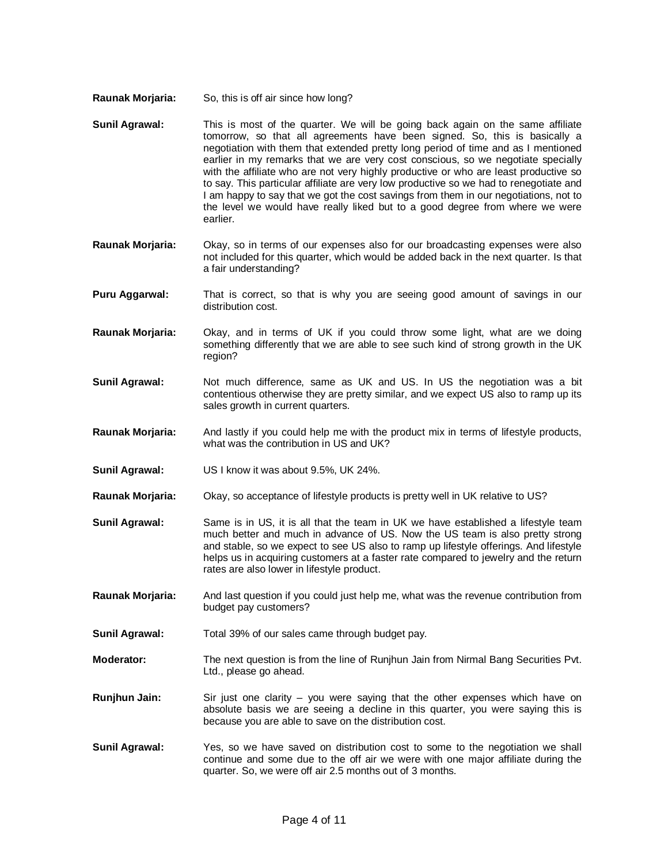- **Raunak Morjaria:** So, this is off air since how long?
- **Sunil Agrawal:** This is most of the quarter. We will be going back again on the same affiliate tomorrow, so that all agreements have been signed. So, this is basically a negotiation with them that extended pretty long period of time and as I mentioned earlier in my remarks that we are very cost conscious, so we negotiate specially with the affiliate who are not very highly productive or who are least productive so to say. This particular affiliate are very low productive so we had to renegotiate and I am happy to say that we got the cost savings from them in our negotiations, not to the level we would have really liked but to a good degree from where we were earlier.
- **Raunak Morjaria:** Okay, so in terms of our expenses also for our broadcasting expenses were also not included for this quarter, which would be added back in the next quarter. Is that a fair understanding?
- **Puru Aggarwal:** That is correct, so that is why you are seeing good amount of savings in our distribution cost.
- **Raunak Morjaria:** Okay, and in terms of UK if you could throw some light, what are we doing something differently that we are able to see such kind of strong growth in the UK region?
- **Sunil Agrawal:** Not much difference, same as UK and US. In US the negotiation was a bit contentious otherwise they are pretty similar, and we expect US also to ramp up its sales growth in current quarters.
- **Raunak Morjaria:** And lastly if you could help me with the product mix in terms of lifestyle products, what was the contribution in US and UK?
- **Sunil Agrawal:** US I know it was about 9.5%, UK 24%.
- **Raunak Morjaria:** Okay, so acceptance of lifestyle products is pretty well in UK relative to US?
- **Sunil Agrawal:** Same is in US, it is all that the team in UK we have established a lifestyle team much better and much in advance of US. Now the US team is also pretty strong and stable, so we expect to see US also to ramp up lifestyle offerings. And lifestyle helps us in acquiring customers at a faster rate compared to jewelry and the return rates are also lower in lifestyle product.
- **Raunak Morjaria:** And last question if you could just help me, what was the revenue contribution from budget pay customers?
- **Sunil Agrawal:** Total 39% of our sales came through budget pay.
- **Moderator:** The next question is from the line of Runjhun Jain from Nirmal Bang Securities Pvt. Ltd., please go ahead.
- **Runjhun Jain:** Sir just one clarity you were saying that the other expenses which have on absolute basis we are seeing a decline in this quarter, you were saying this is because you are able to save on the distribution cost.
- **Sunil Agrawal:** Yes, so we have saved on distribution cost to some to the negotiation we shall continue and some due to the off air we were with one major affiliate during the quarter. So, we were off air 2.5 months out of 3 months.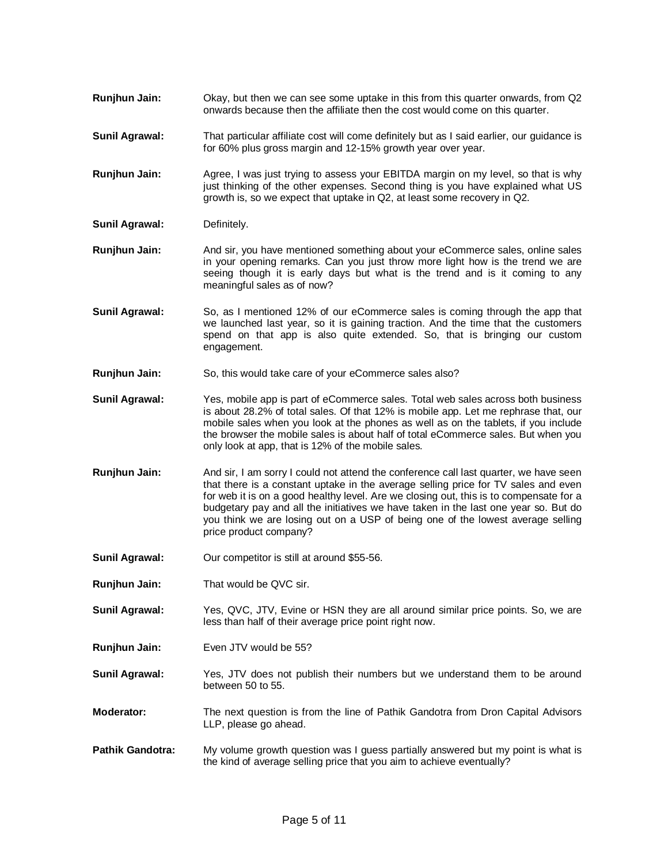- **Runjhun Jain:** Okay, but then we can see some uptake in this from this quarter onwards, from Q2 onwards because then the affiliate then the cost would come on this quarter.
- **Sunil Agrawal:** That particular affiliate cost will come definitely but as I said earlier, our guidance is for 60% plus gross margin and 12-15% growth year over year.
- **Runjhun Jain:** Agree, I was just trying to assess your EBITDA margin on my level, so that is why just thinking of the other expenses. Second thing is you have explained what US growth is, so we expect that uptake in Q2, at least some recovery in Q2.
- **Sunil Agrawal:** Definitely.
- **Runjhun Jain:** And sir, you have mentioned something about your eCommerce sales, online sales in your opening remarks. Can you just throw more light how is the trend we are seeing though it is early days but what is the trend and is it coming to any meaningful sales as of now?
- **Sunil Agrawal:** So, as I mentioned 12% of our eCommerce sales is coming through the app that we launched last year, so it is gaining traction. And the time that the customers spend on that app is also quite extended. So, that is bringing our custom engagement.
- **Runjhun Jain:** So, this would take care of your eCommerce sales also?
- **Sunil Agrawal:** Yes, mobile app is part of eCommerce sales. Total web sales across both business is about 28.2% of total sales. Of that 12% is mobile app. Let me rephrase that, our mobile sales when you look at the phones as well as on the tablets, if you include the browser the mobile sales is about half of total eCommerce sales. But when you only look at app, that is 12% of the mobile sales.
- **Runjhun Jain:** And sir, I am sorry I could not attend the conference call last quarter, we have seen that there is a constant uptake in the average selling price for TV sales and even for web it is on a good healthy level. Are we closing out, this is to compensate for a budgetary pay and all the initiatives we have taken in the last one year so. But do you think we are losing out on a USP of being one of the lowest average selling price product company?
- **Sunil Agrawal:** Our competitor is still at around \$55-56.
- **Runjhun Jain:** That would be QVC sir.
- **Sunil Agrawal:** Yes, QVC, JTV, Evine or HSN they are all around similar price points. So, we are less than half of their average price point right now.
- **Runjhun Jain:** Even JTV would be 55?
- **Sunil Agrawal:** Yes, JTV does not publish their numbers but we understand them to be around between 50 to 55.
- **Moderator:** The next question is from the line of Pathik Gandotra from Dron Capital Advisors LLP, please go ahead.
- **Pathik Gandotra:** My volume growth question was I guess partially answered but my point is what is the kind of average selling price that you aim to achieve eventually?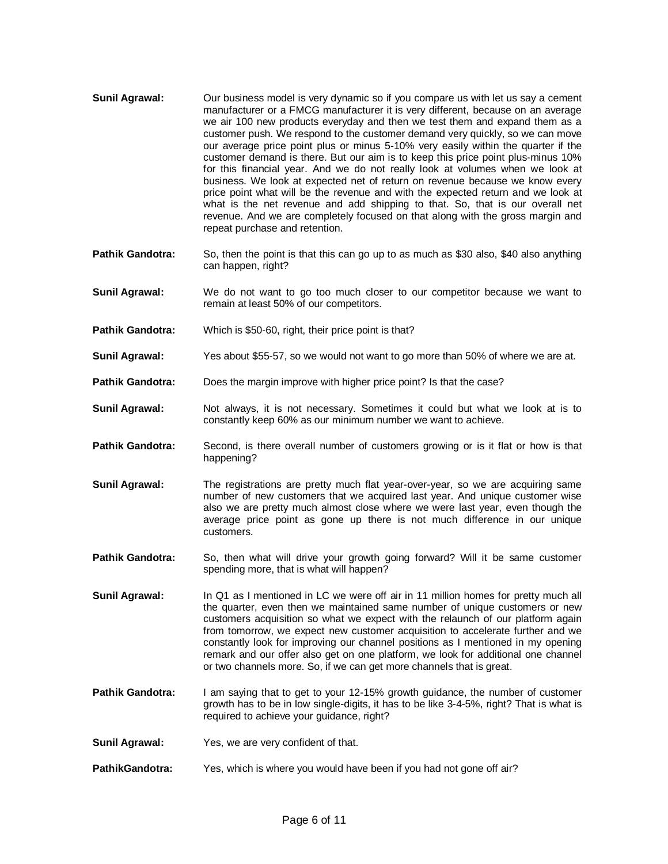- **Sunil Agrawal:** Our business model is very dynamic so if you compare us with let us say a cement manufacturer or a FMCG manufacturer it is very different, because on an average we air 100 new products everyday and then we test them and expand them as a customer push. We respond to the customer demand very quickly, so we can move our average price point plus or minus 5-10% very easily within the quarter if the customer demand is there. But our aim is to keep this price point plus-minus 10% for this financial year. And we do not really look at volumes when we look at business. We look at expected net of return on revenue because we know every price point what will be the revenue and with the expected return and we look at what is the net revenue and add shipping to that. So, that is our overall net revenue. And we are completely focused on that along with the gross margin and repeat purchase and retention.
- **Pathik Gandotra:** So, then the point is that this can go up to as much as \$30 also, \$40 also anything can happen, right?
- **Sunil Agrawal:** We do not want to go too much closer to our competitor because we want to remain at least 50% of our competitors.
- **Pathik Gandotra:** Which is \$50-60, right, their price point is that?
- **Sunil Agrawal:** Yes about \$55-57, so we would not want to go more than 50% of where we are at.
- **Pathik Gandotra:** Does the margin improve with higher price point? Is that the case?
- **Sunil Agrawal:** Not always, it is not necessary. Sometimes it could but what we look at is to constantly keep 60% as our minimum number we want to achieve.
- **Pathik Gandotra:** Second, is there overall number of customers growing or is it flat or how is that happening?
- **Sunil Agrawal:** The registrations are pretty much flat year-over-year, so we are acquiring same number of new customers that we acquired last year. And unique customer wise also we are pretty much almost close where we were last year, even though the average price point as gone up there is not much difference in our unique customers.
- **Pathik Gandotra:** So, then what will drive your growth going forward? Will it be same customer spending more, that is what will happen?
- **Sunil Agrawal:** In Q1 as I mentioned in LC we were off air in 11 million homes for pretty much all the quarter, even then we maintained same number of unique customers or new customers acquisition so what we expect with the relaunch of our platform again from tomorrow, we expect new customer acquisition to accelerate further and we constantly look for improving our channel positions as I mentioned in my opening remark and our offer also get on one platform, we look for additional one channel or two channels more. So, if we can get more channels that is great.
- **Pathik Gandotra:** I am saying that to get to your 12-15% growth guidance, the number of customer growth has to be in low single-digits, it has to be like 3-4-5%, right? That is what is required to achieve your guidance, right?
- **Sunil Agrawal:** Yes, we are very confident of that.
- **PathikGandotra:** Yes, which is where you would have been if you had not gone off air?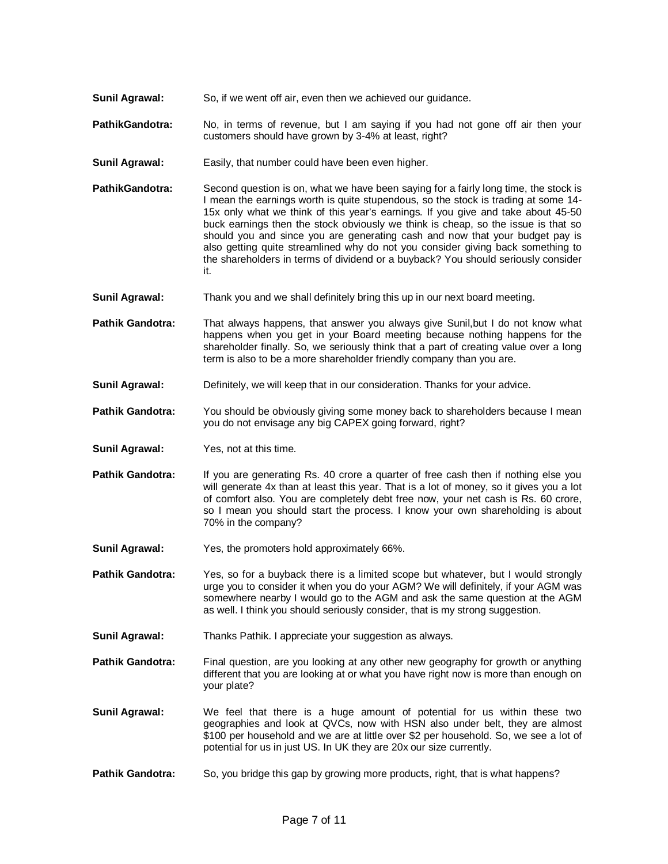- **Sunil Agrawal:** So, if we went off air, even then we achieved our guidance.
- **PathikGandotra:** No, in terms of revenue, but I am saying if you had not gone off air then your customers should have grown by 3-4% at least, right?
- **Sunil Agrawal:** Easily, that number could have been even higher.
- **PathikGandotra:** Second question is on, what we have been saying for a fairly long time, the stock is I mean the earnings worth is quite stupendous, so the stock is trading at some 14- 15x only what we think of this year's earnings. If you give and take about 45-50 buck earnings then the stock obviously we think is cheap, so the issue is that so should you and since you are generating cash and now that your budget pay is also getting quite streamlined why do not you consider giving back something to the shareholders in terms of dividend or a buyback? You should seriously consider it.
- **Sunil Agrawal:** Thank you and we shall definitely bring this up in our next board meeting.

**Pathik Gandotra:** That always happens, that answer you always give Sunil,but I do not know what happens when you get in your Board meeting because nothing happens for the shareholder finally. So, we seriously think that a part of creating value over a long term is also to be a more shareholder friendly company than you are.

- **Sunil Agrawal:** Definitely, we will keep that in our consideration. Thanks for your advice.
- **Pathik Gandotra:** You should be obviously giving some money back to shareholders because I mean you do not envisage any big CAPEX going forward, right?
- **Sunil Agrawal:** Yes, not at this time.
- **Pathik Gandotra:** If you are generating Rs. 40 crore a quarter of free cash then if nothing else you will generate 4x than at least this year. That is a lot of money, so it gives you a lot of comfort also. You are completely debt free now, your net cash is Rs. 60 crore, so I mean you should start the process. I know your own shareholding is about 70% in the company?
- **Sunil Agrawal:** Yes, the promoters hold approximately 66%.

**Pathik Gandotra:** Yes, so for a buyback there is a limited scope but whatever, but I would strongly urge you to consider it when you do your AGM? We will definitely, if your AGM was somewhere nearby I would go to the AGM and ask the same question at the AGM as well. I think you should seriously consider, that is my strong suggestion.

**Sunil Agrawal:** Thanks Pathik. I appreciate your suggestion as always.

**Pathik Gandotra:** Final question, are you looking at any other new geography for growth or anything different that you are looking at or what you have right now is more than enough on your plate?

- **Sunil Agrawal:** We feel that there is a huge amount of potential for us within these two geographies and look at QVCs, now with HSN also under belt, they are almost \$100 per household and we are at little over \$2 per household. So, we see a lot of potential for us in just US. In UK they are 20x our size currently.
- **Pathik Gandotra:** So, you bridge this gap by growing more products, right, that is what happens?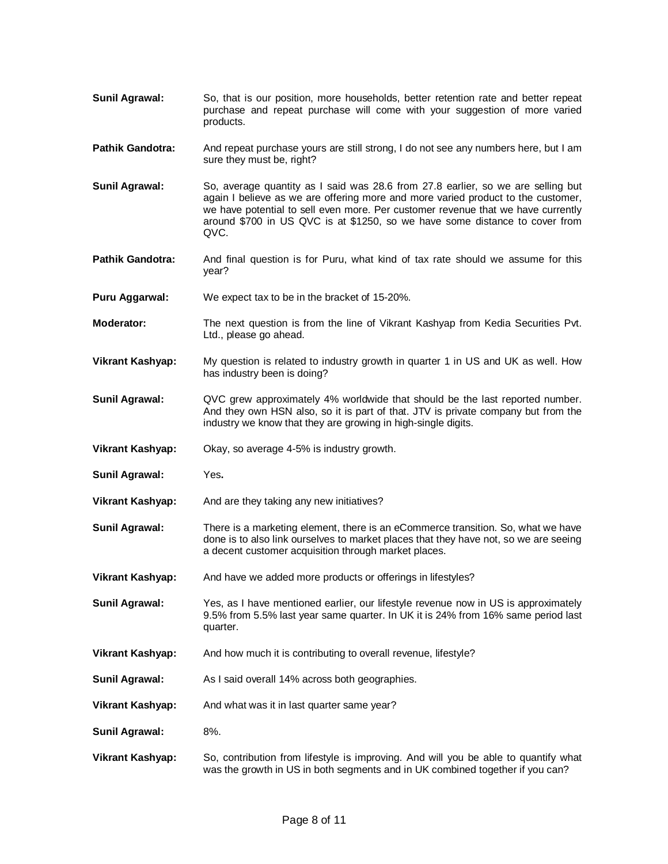- **Sunil Agrawal:** So, that is our position, more households, better retention rate and better repeat purchase and repeat purchase will come with your suggestion of more varied products.
- **Pathik Gandotra:** And repeat purchase yours are still strong, I do not see any numbers here, but I am sure they must be, right?
- **Sunil Agrawal:** So, average quantity as I said was 28.6 from 27.8 earlier, so we are selling but again I believe as we are offering more and more varied product to the customer, we have potential to sell even more. Per customer revenue that we have currently around \$700 in US QVC is at \$1250, so we have some distance to cover from QVC.
- **Pathik Gandotra:** And final question is for Puru, what kind of tax rate should we assume for this year?
- **Puru Aggarwal:** We expect tax to be in the bracket of 15-20%.
- **Moderator:** The next question is from the line of Vikrant Kashyap from Kedia Securities Pvt. Ltd., please go ahead.
- **Vikrant Kashyap:** My question is related to industry growth in quarter 1 in US and UK as well. How has industry been is doing?
- **Sunil Agrawal:** QVC grew approximately 4% worldwide that should be the last reported number. And they own HSN also, so it is part of that. JTV is private company but from the industry we know that they are growing in high-single digits.
- **Vikrant Kashyap:** Okay, so average 4-5% is industry growth.
- **Sunil Agrawal:** Yes**.**
- **Vikrant Kashyap:** And are they taking any new initiatives?
- **Sunil Agrawal:** There is a marketing element, there is an eCommerce transition. So, what we have done is to also link ourselves to market places that they have not, so we are seeing a decent customer acquisition through market places.
- **Vikrant Kashyap:** And have we added more products or offerings in lifestyles?
- **Sunil Agrawal:** Yes, as I have mentioned earlier, our lifestyle revenue now in US is approximately 9.5% from 5.5% last year same quarter. In UK it is 24% from 16% same period last quarter.
- **Vikrant Kashyap:** And how much it is contributing to overall revenue, lifestyle?
- **Sunil Agrawal:** As I said overall 14% across both geographies.
- **Vikrant Kashyap:** And what was it in last quarter same year?
- **Sunil Agrawal:** 8%.
- **Vikrant Kashyap:** So, contribution from lifestyle is improving. And will you be able to quantify what was the growth in US in both segments and in UK combined together if you can?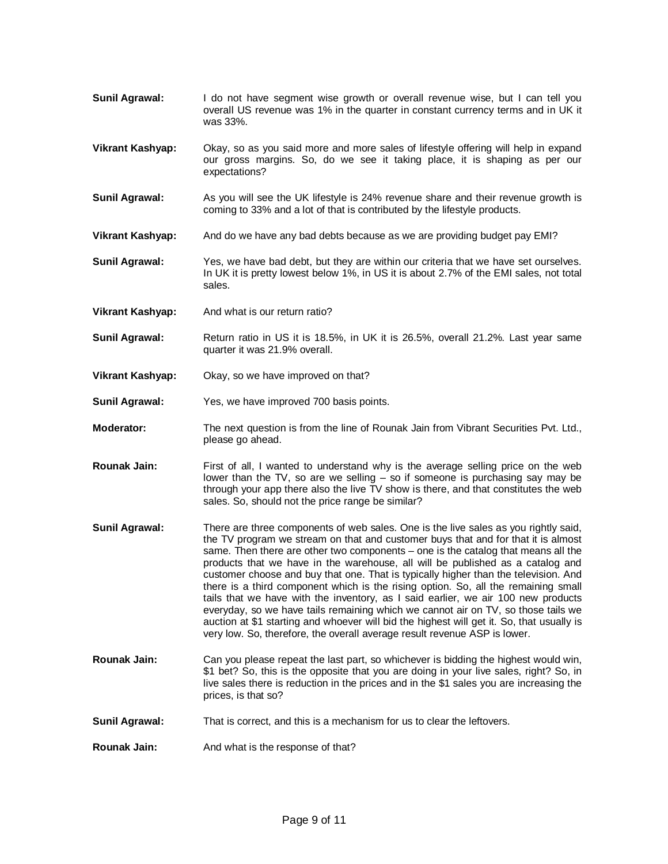- **Sunil Agrawal:** I do not have segment wise growth or overall revenue wise, but I can tell you overall US revenue was 1% in the quarter in constant currency terms and in UK it was 33%.
- **Vikrant Kashyap:** Okay, so as you said more and more sales of lifestyle offering will help in expand our gross margins. So, do we see it taking place, it is shaping as per our expectations?
- **Sunil Agrawal:** As you will see the UK lifestyle is 24% revenue share and their revenue growth is coming to 33% and a lot of that is contributed by the lifestyle products.
- **Vikrant Kashyap:** And do we have any bad debts because as we are providing budget pay EMI?
- **Sunil Agrawal:** Yes, we have bad debt, but they are within our criteria that we have set ourselves. In UK it is pretty lowest below 1%, in US it is about 2.7% of the EMI sales, not total sales.
- **Vikrant Kashyap:** And what is our return ratio?
- **Sunil Agrawal:** Return ratio in US it is 18.5%, in UK it is 26.5%, overall 21.2%. Last year same quarter it was 21.9% overall.
- **Vikrant Kashyap:** Okay, so we have improved on that?
- **Sunil Agrawal:** Yes, we have improved 700 basis points.
- **Moderator:** The next question is from the line of Rounak Jain from Vibrant Securities Pvt. Ltd., please go ahead.
- **Rounak Jain:** First of all, I wanted to understand why is the average selling price on the web lower than the TV, so are we selling – so if someone is purchasing say may be through your app there also the live TV show is there, and that constitutes the web sales. So, should not the price range be similar?
- **Sunil Agrawal:** There are three components of web sales. One is the live sales as you rightly said, the TV program we stream on that and customer buys that and for that it is almost same. Then there are other two components – one is the catalog that means all the products that we have in the warehouse, all will be published as a catalog and customer choose and buy that one. That is typically higher than the television. And there is a third component which is the rising option. So, all the remaining small tails that we have with the inventory, as I said earlier, we air 100 new products everyday, so we have tails remaining which we cannot air on TV, so those tails we auction at \$1 starting and whoever will bid the highest will get it. So, that usually is very low. So, therefore, the overall average result revenue ASP is lower.
- **Rounak Jain:** Can you please repeat the last part, so whichever is bidding the highest would win, \$1 bet? So, this is the opposite that you are doing in your live sales, right? So, in live sales there is reduction in the prices and in the \$1 sales you are increasing the prices, is that so?
- **Sunil Agrawal:** That is correct, and this is a mechanism for us to clear the leftovers.
- **Rounak Jain:** And what is the response of that?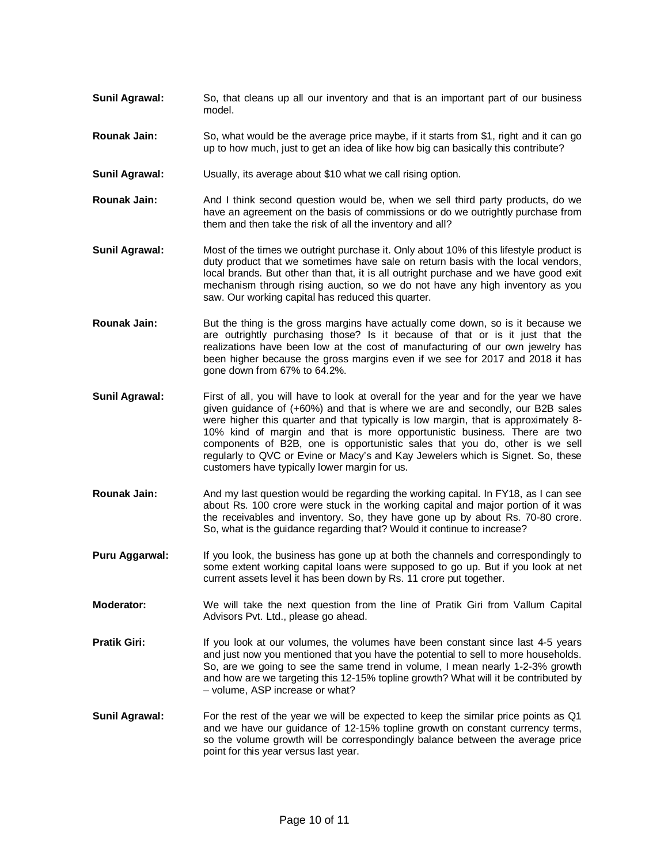- **Sunil Agrawal:** So, that cleans up all our inventory and that is an important part of our business model.
- **Rounak Jain:** So, what would be the average price maybe, if it starts from \$1, right and it can go up to how much, just to get an idea of like how big can basically this contribute?
- **Sunil Agrawal:** Usually, its average about \$10 what we call rising option.
- **Rounak Jain:** And I think second question would be, when we sell third party products, do we have an agreement on the basis of commissions or do we outrightly purchase from them and then take the risk of all the inventory and all?
- **Sunil Agrawal:** Most of the times we outright purchase it. Only about 10% of this lifestyle product is duty product that we sometimes have sale on return basis with the local vendors, local brands. But other than that, it is all outright purchase and we have good exit mechanism through rising auction, so we do not have any high inventory as you saw. Our working capital has reduced this quarter.
- **Rounak Jain:** But the thing is the gross margins have actually come down, so is it because we are outrightly purchasing those? Is it because of that or is it just that the realizations have been low at the cost of manufacturing of our own jewelry has been higher because the gross margins even if we see for 2017 and 2018 it has gone down from 67% to 64.2%.
- **Sunil Agrawal:** First of all, you will have to look at overall for the year and for the year we have given guidance of (+60%) and that is where we are and secondly, our B2B sales were higher this quarter and that typically is low margin, that is approximately 8- 10% kind of margin and that is more opportunistic business. There are two components of B2B, one is opportunistic sales that you do, other is we sell regularly to QVC or Evine or Macy's and Kay Jewelers which is Signet. So, these customers have typically lower margin for us.
- **Rounak Jain:** And my last question would be regarding the working capital. In FY18, as I can see about Rs. 100 crore were stuck in the working capital and major portion of it was the receivables and inventory. So, they have gone up by about Rs. 70-80 crore. So, what is the guidance regarding that? Would it continue to increase?
- **Puru Aggarwal:** If you look, the business has gone up at both the channels and correspondingly to some extent working capital loans were supposed to go up. But if you look at net current assets level it has been down by Rs. 11 crore put together.
- **Moderator:** We will take the next question from the line of Pratik Giri from Vallum Capital Advisors Pvt. Ltd., please go ahead.
- **Pratik Giri:** If you look at our volumes, the volumes have been constant since last 4-5 years and just now you mentioned that you have the potential to sell to more households. So, are we going to see the same trend in volume, I mean nearly 1-2-3% growth and how are we targeting this 12-15% topline growth? What will it be contributed by – volume, ASP increase or what?
- **Sunil Agrawal:** For the rest of the year we will be expected to keep the similar price points as Q1 and we have our guidance of 12-15% topline growth on constant currency terms, so the volume growth will be correspondingly balance between the average price point for this year versus last year.